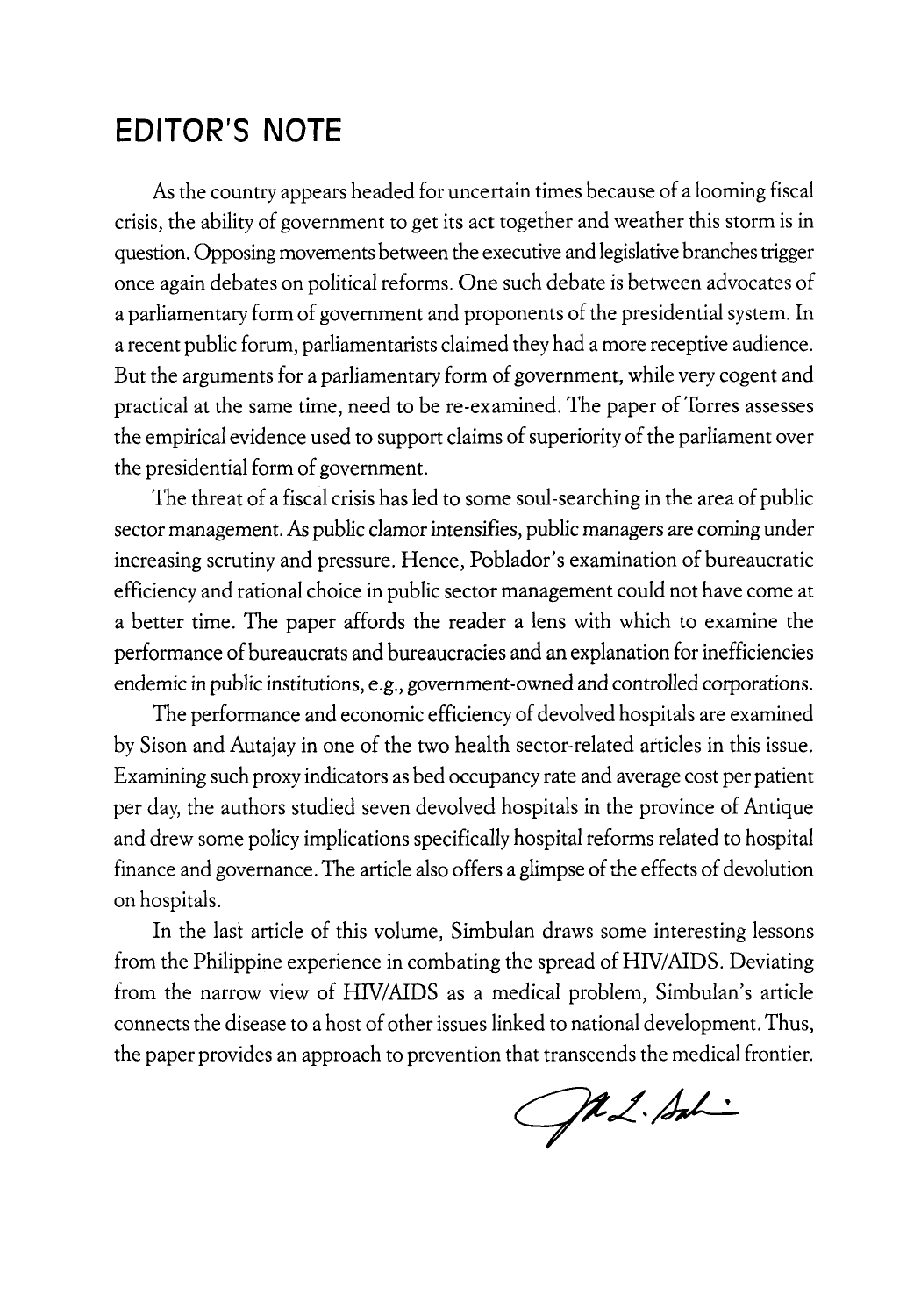## **EDITOR'S NOTE**

As the country appears headed for uncertain times because of a looming fiscal crisis, the ability of government to get its act together and weather this storm is in question. Opposing movements between the executive and legislative branches trigger once again debates on political reforms. One such debate is between advocates of a parliamentary form of government and proponents of the presidential system. In a recent public forum, parliamentarists claimed they had a more receptive audience. But the arguments for a parliamentary form of government, while very cogent and practical at the same time, need to be re-examined. The paper of Torres assesses the empirical evidence used to support claims of superiority of the parliament over the presidential form of government.

The threat of a fiscal crisis has led to some soul-searching in the area of public sector management. As public clamor intensifies, public managers are coming under increasing scrutiny and pressure. Hence, Poblador's examination of bureaucratic efficiency and rational choice in public sector management could not have come at a better time. The paper affords the reader a lens with which to examine the performance of bureaucrats and bureaucracies and an explanation for inefficiencies endemic in public institutions, e.g., government-owned and controlled corporations.

The performance and economic efficiency of devolved hospitals are examined by Sison and Autajay in one of the two health sector-related articles in this issue. Examining such proxy indicators as bed occupancy rate and average cost per patient per day, the authors studied seven devolved hospitals in the province of Antique and drew some policy implications specifically hospital reforms related to hospital finance and governance. The article also offers a glimpse of the effects of devolution on hospitals.

In the last article of this volume, Simbulan draws some interesting lessons from the Philippine experience in combating the spread of HIV/AIDS. Deviating from the narrow view of HIV/AIDS as a medical problem, Simbulan's article connects the disease to a host of other issues linked to national development. Thus, the paper provides an approach to prevention that transcends the medical frontier.

Ja L. Sali